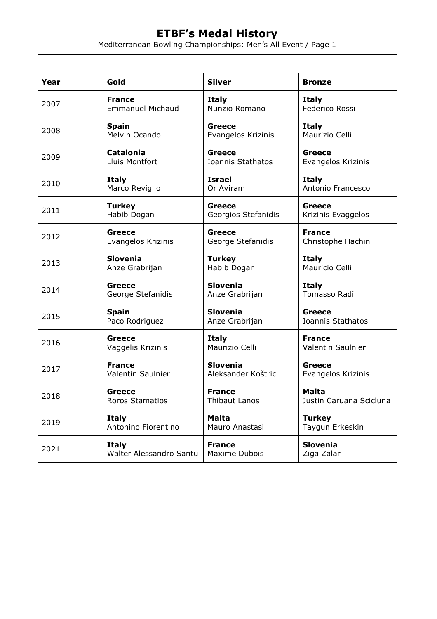## **ETBF's Medal History**

Mediterranean Bowling Championships: Men's All Event / Page 1

| Year | Gold                    | <b>Silver</b>       | <b>Bronze</b>           |
|------|-------------------------|---------------------|-------------------------|
| 2007 | <b>France</b>           | <b>Italy</b>        | <b>Italy</b>            |
|      | <b>Emmanuel Michaud</b> | Nunzio Romano       | Federico Rossi          |
| 2008 | <b>Spain</b>            | Greece              | <b>Italy</b>            |
|      | Melvin Ocando           | Evangelos Krizinis  | Maurizio Celli          |
| 2009 | <b>Catalonia</b>        | <b>Greece</b>       | Greece                  |
|      | Lluis Montfort          | Ioannis Stathatos   | Evangelos Krizinis      |
| 2010 | <b>Italy</b>            | <b>Israel</b>       | <b>Italy</b>            |
|      | Marco Reviglio          | Or Aviram           | Antonio Francesco       |
| 2011 | <b>Turkey</b>           | <b>Greece</b>       | Greece                  |
|      | Habib Dogan             | Georgios Stefanidis | Krizinis Evaggelos      |
| 2012 | Greece                  | <b>Greece</b>       | <b>France</b>           |
|      | Evangelos Krizinis      | George Stefanidis   | Christophe Hachin       |
| 2013 | <b>Slovenia</b>         | <b>Turkey</b>       | <b>Italy</b>            |
|      | Anze Grabrijan          | Habib Dogan         | Mauricio Celli          |
| 2014 | Greece                  | <b>Slovenia</b>     | <b>Italy</b>            |
|      | George Stefanidis       | Anze Grabrijan      | Tomasso Radi            |
| 2015 | <b>Spain</b>            | <b>Slovenia</b>     | Greece                  |
|      | Paco Rodriguez          | Anze Grabrijan      | Ioannis Stathatos       |
| 2016 | Greece                  | <b>Italy</b>        | <b>France</b>           |
|      | Vaggelis Krizinis       | Maurizio Celli      | Valentin Saulnier       |
| 2017 | <b>France</b>           | <b>Slovenia</b>     | Greece                  |
|      | Valentin Saulnier       | Aleksander Koštric  | Evangelos Krizinis      |
| 2018 | Greece                  | <b>France</b>       | <b>Malta</b>            |
|      | Roros Stamatios         | Thibaut Lanos       | Justin Caruana Scicluna |
| 2019 | <b>Italy</b>            | <b>Malta</b>        | <b>Turkey</b>           |
|      | Antonino Fiorentino     | Mauro Anastasi      | Taygun Erkeskin         |
| 2021 | <b>Italy</b>            | <b>France</b>       | <b>Slovenia</b>         |
|      | Walter Alessandro Santu | Maxime Dubois       | Ziga Zalar              |